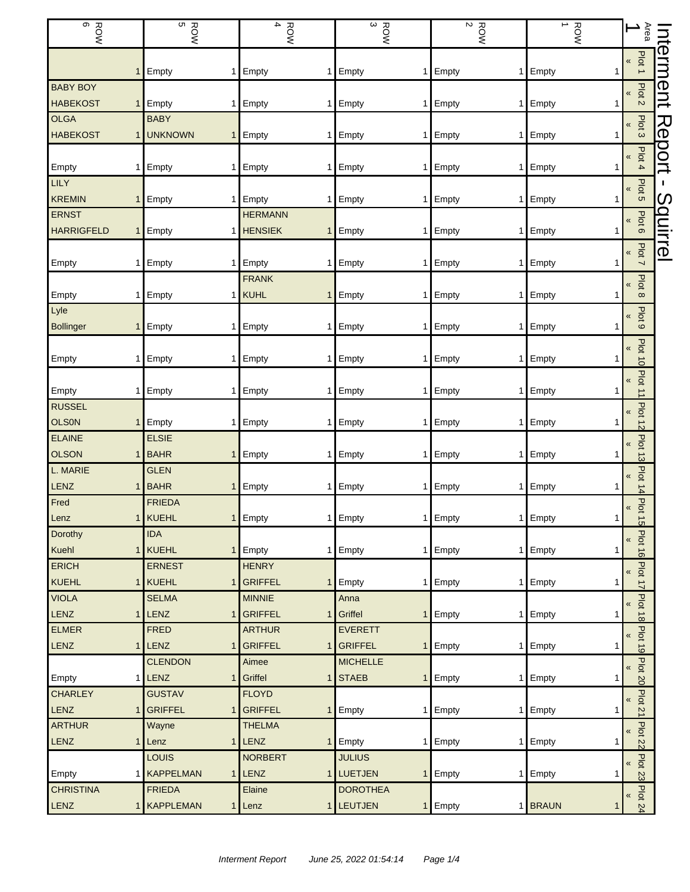| တ<br><b>ROW</b>               | ROW<br>BOW                       | $\overline{\bf 4}$<br><b>ROW</b> | $\frac{ROW}{3}$   | $\frac{ROW}{2}$           | $\rightarrow$<br>ROW      | Area<br>$\overline{\phantom{0}}$     |           |
|-------------------------------|----------------------------------|----------------------------------|-------------------|---------------------------|---------------------------|--------------------------------------|-----------|
|                               | Empty<br>1                       | Empty<br>1                       | Empty             | Empty<br>1                | Empty                     | Plot <sub>1</sub><br>$\pmb{\kappa}$  | Internent |
| <b>BABY BOY</b>               |                                  |                                  |                   |                           |                           |                                      |           |
| <b>HABEKOST</b>               | Empty                            | Empty<br>1                       | Empty             | Empty<br>1                | Empty                     | Plot <sub>2</sub><br>«               |           |
| <b>OLGA</b>                   | <b>BABY</b>                      |                                  |                   |                           |                           | «                                    |           |
| <b>HABEKOST</b>               | <b>UNKNOWN</b>                   | Empty                            | 1 Empty           | Empty<br>1                | Empty                     | Plot <sub>3</sub>                    | Report    |
|                               |                                  |                                  |                   |                           |                           | Plot 4<br>«                          |           |
| Empty                         | Empty                            | Empty<br>1                       | Empty             | Empty<br>1 <sup>1</sup>   | Empty                     |                                      |           |
| <b>LILY</b>                   |                                  |                                  |                   |                           |                           | Plot <sub>5</sub><br>$\pmb{\kappa}$  | п         |
| <b>KREMIN</b>                 | Empty                            | Empty<br>1                       | Empty             | Empty<br>1                | Empty                     |                                      |           |
| <b>ERNST</b>                  |                                  | <b>HERMANN</b>                   |                   |                           |                           | Plot 6<br>«                          |           |
| <b>HARRIGFELD</b>             | Empty                            | <b>HENSIEK</b><br>$\mathbf{1}$   | Empty             | Empty<br>1                | Empty                     |                                      |           |
|                               |                                  |                                  |                   |                           |                           | Plot 7<br>«                          | Squirrel  |
| Empty                         | Empty                            | Empty<br>1                       | Empty             | 1 Empty<br>1 <sup>1</sup> | Empty                     |                                      |           |
|                               |                                  | <b>FRANK</b>                     |                   |                           |                           | Plot 8<br>$\pmb{\kappa}$             |           |
| Empty                         | Empty                            | KUHL                             | 1 Empty           | Empty<br>1                | Empty                     |                                      |           |
| Lyle                          |                                  |                                  |                   |                           |                           | Plot 9<br>«                          |           |
| <b>Bollinger</b>              | Empty                            | Empty<br>1                       | Empty<br>1        | Empty<br>1                | Empty                     |                                      |           |
|                               |                                  |                                  |                   |                           |                           | Plot 10<br>«                         |           |
| Empty                         | Empty<br>1.                      | Empty<br>1                       | Empty             | Empty<br>1                | Empty                     |                                      |           |
|                               |                                  |                                  |                   |                           |                           | Plot 11<br>«                         |           |
| Empty<br>1                    | Empty                            | Empty                            | 1 Empty           | 1 Empty                   | 1 Empty                   |                                      |           |
| <b>RUSSEL</b>                 |                                  |                                  |                   |                           |                           | <b>Plot 12</b><br>$\pmb{\kappa}$     |           |
| <b>OLSON</b>                  | Empty<br>1                       | Empty<br>1                       | Empty<br>1        | Empty<br>1                | Empty                     |                                      |           |
| <b>ELAINE</b><br><b>OLSON</b> | <b>ELSIE</b><br><b>BAHR</b>      |                                  |                   |                           |                           | <b>Plot 13</b><br>«                  |           |
| L. MARIE                      | <b>GLEN</b>                      | Empty<br>1                       | Empty             | Empty<br>1                | Empty                     |                                      |           |
| LENZ                          | <b>BAHR</b><br>$\mathbf{1}$      | Empty                            | 1 Empty           | 1 Empty                   | 1 Empty                   | Plat<br>$\pmb{\kappa}$               |           |
| Fred                          | <b>FRIEDA</b>                    |                                  |                   |                           |                           | $\frac{14}{1}$                       |           |
| Lenz                          | 1 KUEHL<br>1 <sub>l</sub>        | Empty                            | 1 Empty           | 1 Empty                   | 1 Empty<br>1 <sup>1</sup> | <b>Plot 15</b><br>«                  |           |
| Dorothy                       | <b>IDA</b>                       |                                  |                   |                           |                           |                                      |           |
| Kuehl                         | <b>KUEHL</b>                     | Empty<br>1                       | Empty             | 1 Empty<br>$\mathbf{1}$   | Empty                     | Plot 16<br>«                         |           |
| <b>ERICH</b>                  | <b>ERNEST</b>                    | <b>HENRY</b>                     |                   |                           |                           |                                      |           |
| KUEHL                         | 1 KUEHL<br>1                     | <b>GRIFFEL</b><br>$\mathbf{1}$   | Empty             | 1 Empty<br>1              | Empty                     | Plot 17<br>$\overline{\mathbf{K}}$   |           |
| <b>VIOLA</b>                  | <b>SELMA</b>                     | <b>MINNIE</b>                    | Anna              |                           |                           | Plot<br>«                            |           |
| <b>LENZ</b><br>$\mathbf{1}$   | LENZ<br>1                        | <b>GRIFFEL</b><br>$\mathbf{1}$   | Griffel           | 1 Empty<br>1 <sup>1</sup> | Empty                     | $\vec{8}$                            |           |
| <b>ELMER</b>                  | <b>FRED</b>                      | <b>ARTHUR</b>                    | <b>EVERETT</b>    |                           |                           | $\pmb{\kappa}$                       |           |
| LENZ<br>$\mathbf{1}$          | LENZ<br>1 <sup>1</sup>           | <b>GRIFFEL</b><br>$\mathbf{1}$   | GRIFFEL<br>1      | Empty<br>1                | Empty                     | <b>Plot 19</b>                       |           |
|                               | <b>CLENDON</b>                   | Aimee                            | <b>MICHELLE</b>   |                           |                           | Plot<br>«                            |           |
| Empty<br>1                    | <b>LENZ</b><br>1                 | Griffel<br>$\mathbf{1}$          | <b>STAEB</b><br>1 | Empty<br>1                | Empty                     | $\overline{8}$                       |           |
| <b>CHARLEY</b>                | <b>GUSTAV</b>                    | <b>FLOYD</b>                     |                   |                           |                           | Plot<br>«                            |           |
| <b>LENZ</b><br>1              | <b>GRIFFEL</b><br>1 <sup>1</sup> | <b>GRIFFEL</b>                   | 1 Empty           | 1 Empty<br>1 <sup>1</sup> | Empty                     | $\overline{2}$                       |           |
| <b>ARTHUR</b>                 | Wayne                            | <b>THELMA</b>                    |                   |                           |                           | <b>Plot</b><br>$\boldsymbol{\kappa}$ |           |
| LENZ<br>$\mathbf{1}$          | Lenz                             | $1$ LENZ                         | 1 Empty           | 1 Empty                   | 1 Empty                   | 22                                   |           |
|                               | <b>LOUIS</b>                     | <b>NORBERT</b>                   | <b>JULIUS</b>     |                           |                           | Plot 23<br>«                         |           |
| Empty<br>1                    | <b>KAPPELMAN</b>                 | $1$ LENZ                         | 1 LUETJEN<br>1    | Empty<br>1                | Empty                     |                                      |           |
| <b>CHRISTINA</b>              | <b>FRIEDA</b>                    | Elaine                           | <b>DOROTHEA</b>   |                           |                           | <b>Plot 24</b>                       |           |
| LENZ                          | 1 KAPPLEMAN                      | 1 Lenz                           | 1 LEUTJEN         | 1 Empty                   | 1 BRAUN                   |                                      |           |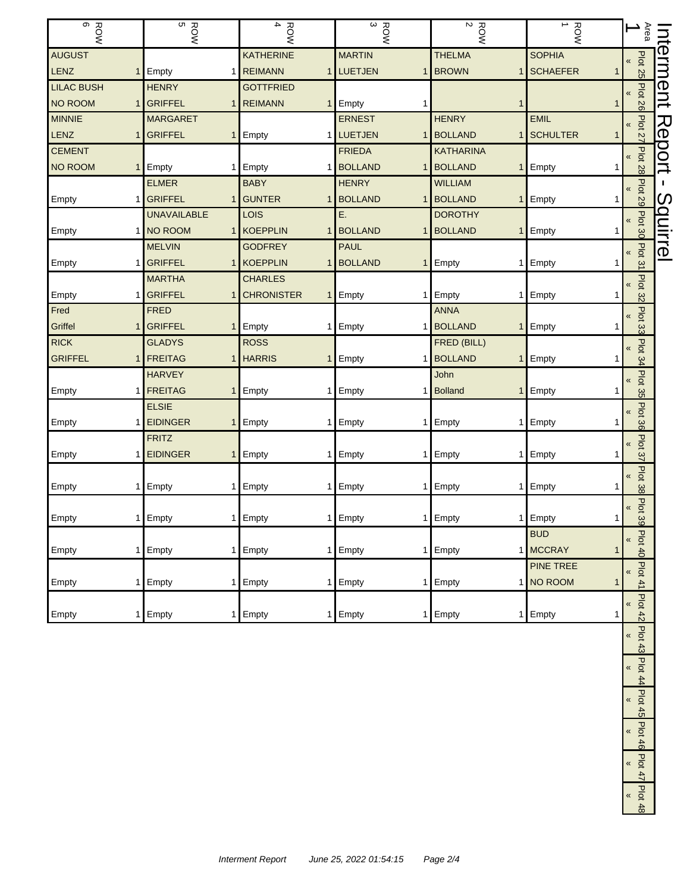| $\sigma$<br><b>ROW</b>           | ROW<br>BOW                           | $\mathbf 4$<br><b>ROW</b>                 | $\frac{ROW}{3}$ | $\frac{ROW}{2}$                        | $\overline{\phantom{0}}$<br><b>ROW</b> | Area<br>∸                             |               |
|----------------------------------|--------------------------------------|-------------------------------------------|-----------------|----------------------------------------|----------------------------------------|---------------------------------------|---------------|
| <b>AUGUST</b>                    |                                      | <b>KATHERINE</b>                          | <b>MARTIN</b>   | <b>THELMA</b>                          | <b>SOPHIA</b>                          | $\pmb{\mathcal{R}}$                   | nterment      |
| LENZ<br>1 <sup>1</sup>           | Empty<br>1.                          | <b>REIMANN</b><br>1                       | <b>LUETJEN</b>  | 1 BROWN<br>$\mathbf{1}$                | <b>SCHAEFER</b>                        | <b>Plot 25</b>                        |               |
| <b>LILAC BUSH</b>                | <b>HENRY</b>                         | <b>GOTTFRIED</b>                          |                 |                                        |                                        | «                                     |               |
| NO ROOM<br>1                     | <b>GRIFFEL</b><br>1                  | <b>REIMANN</b><br>$\mathbf{1}$            | Empty<br>1      | 1                                      | 1                                      | Plot 26                               |               |
| <b>MINNIE</b>                    | <b>MARGARET</b>                      |                                           | <b>ERNEST</b>   | <b>HENRY</b>                           | <b>EMIL</b>                            |                                       |               |
| LENZ<br>1                        | <b>GRIFFEL</b><br>1                  | Empty<br>1                                | LUETJEN         | 1 BOLLAND<br>$\mathbf{1}$              | <b>SCHULTER</b>                        | Plot 27                               | Report        |
| <b>CEMENT</b>                    |                                      |                                           | <b>FRIEDA</b>   | <b>KATHARINA</b>                       |                                        |                                       |               |
| <b>NO ROOM</b><br>1 <sub>1</sub> | Empty<br>1                           | Empty<br>-1                               | <b>BOLLAND</b>  | 1 BOLLAND<br>$\mathbf{1}$              | $\mathsf{E}$ Empty                     | Plot 28                               |               |
|                                  | <b>ELMER</b>                         | <b>BABY</b>                               | <b>HENRY</b>    | <b>WILLIAM</b>                         |                                        | Plot 29<br>$\pmb{\ll}$                | L.            |
| Empty<br>1                       | <b>GRIFFEL</b><br>1                  | <b>GUNTER</b><br>-1                       | <b>BOLLAND</b>  | 1 BOLLAND<br>$\mathbf{1}$              | Empty                                  |                                       | $\mathcal{O}$ |
|                                  | <b>UNAVAILABLE</b>                   | LOIS                                      | Ε.              | <b>DOROTHY</b>                         |                                        | Plot 30<br>«                          | quirrel       |
| Empty<br>1                       | NO ROOM<br>1.                        | KOEPPLIN<br>-1                            | <b>BOLLAND</b>  | 1 BOLLAND<br>$\mathbf{1}$              | Empty                                  |                                       |               |
|                                  | <b>MELVIN</b>                        | <b>GODFREY</b>                            | <b>PAUL</b>     |                                        |                                        | Plot 31                               |               |
| Empty                            | <b>GRIFFEL</b>                       | 1 KOEPPLIN<br>1                           | <b>BOLLAND</b>  | 1 Empty<br>1                           | Empty                                  |                                       |               |
|                                  | <b>MARTHA</b>                        | <b>CHARLES</b>                            |                 |                                        |                                        | <b>Plot 32</b><br>«                   |               |
| Empty<br>1                       | <b>GRIFFEL</b><br>1                  | <b>CHRONISTER</b><br>1                    | Empty           | 1 Empty                                | 1 Empty                                |                                       |               |
| Fred                             | <b>FRED</b>                          |                                           |                 | <b>ANNA</b>                            |                                        | Plot 33<br>«                          |               |
| Griffel<br>1                     | <b>GRIFFEL</b><br>$\mathbf{1}$       | Empty                                     | 1 Empty         | 1 BOLLAND<br>$\mathbf{1}$              | Empty                                  |                                       |               |
| <b>RICK</b>                      | <b>GLADYS</b>                        | <b>ROSS</b>                               |                 | FRED (BILL)                            |                                        | Plot <sub>34</sub><br>«               |               |
| <b>GRIFFEL</b><br>1              | <b>FREITAG</b><br>1<br><b>HARVEY</b> | <b>HARRIS</b><br>$\overline{\phantom{a}}$ | Empty<br>1      | <b>BOLLAND</b><br>$\mathbf{1}$<br>John | Empty                                  |                                       |               |
| Empty<br>1                       | <b>FREITAG</b><br>1                  | Empty                                     | 1 Empty         | 1 Bolland<br>$\mathbf{1}$              | Empty                                  | <b>Plot</b><br>«                      |               |
|                                  | <b>ELSIE</b>                         |                                           |                 |                                        |                                        | 35                                    |               |
| Empty<br>1                       | <b>EIDINGER</b><br>1                 | Empty<br>1                                | Empty           | 1 Empty<br>1                           | Empty<br>1                             | Plot 36<br>«                          |               |
|                                  | <b>FRITZ</b>                         |                                           |                 |                                        |                                        |                                       |               |
| Empty<br>1                       | <b>EIDINGER</b><br>$\mathbf{1}$      | Empty                                     | 1 Empty         | 1 Empty<br>1                           | Empty                                  | Plot 37<br>«                          |               |
|                                  |                                      |                                           |                 |                                        |                                        |                                       |               |
| Empty<br>1                       | Empty<br>1                           | Empty<br>-1                               | Empty<br>1      | Empty<br>1                             | Empty                                  | Plot 38<br>«                          |               |
|                                  |                                      |                                           |                 |                                        |                                        | «                                     |               |
| Empty                            | 1 Empty                              | 1 Empty                                   | 1 Empty         | 1 Empty                                | 1 Empty<br>1                           | Plot 39                               |               |
|                                  |                                      |                                           |                 |                                        | <b>BUD</b>                             | K                                     |               |
| Empty<br>1 <sup>1</sup>          | Empty                                | 1 Empty                                   | 1 Empty         | 1 Empty                                | 1 MCCRAY                               | Plot 40                               |               |
|                                  |                                      |                                           |                 |                                        | <b>PINE TREE</b>                       | Plot41<br>«                           |               |
| Empty<br>1 <sup>1</sup>          | Empty<br>1                           | Empty<br>1                                | Empty           | 1 Empty                                | 1 NO ROOM<br>1                         |                                       |               |
|                                  |                                      |                                           |                 |                                        |                                        | Plot 42<br>«                          |               |
| Empty<br>11                      | Empty<br>1.                          | Empty                                     | 1 Empty         | 1 Empty                                | 1 Empty<br>1                           |                                       |               |
|                                  |                                      |                                           |                 |                                        |                                        | <b>Plot 43</b><br>$\pmb{\mathcal{R}}$ |               |
|                                  |                                      |                                           |                 |                                        |                                        |                                       |               |
|                                  |                                      |                                           |                 |                                        |                                        | Plot 44<br>«                          |               |
|                                  |                                      |                                           |                 |                                        |                                        |                                       |               |
|                                  |                                      |                                           |                 |                                        |                                        | Plot 45<br>$\pmb{\kappa}$             |               |
|                                  |                                      |                                           |                 |                                        |                                        |                                       |               |
|                                  |                                      |                                           |                 |                                        |                                        | Plot 46<br>«                          |               |
|                                  |                                      |                                           |                 |                                        |                                        |                                       |               |
|                                  |                                      |                                           |                 |                                        |                                        | $P$ lot 47<br>«                       |               |
|                                  |                                      |                                           |                 |                                        |                                        | <b>Plot</b>                           |               |
|                                  |                                      |                                           |                 |                                        |                                        | $\pmb{\mathcal{R}}$                   |               |

Plot 48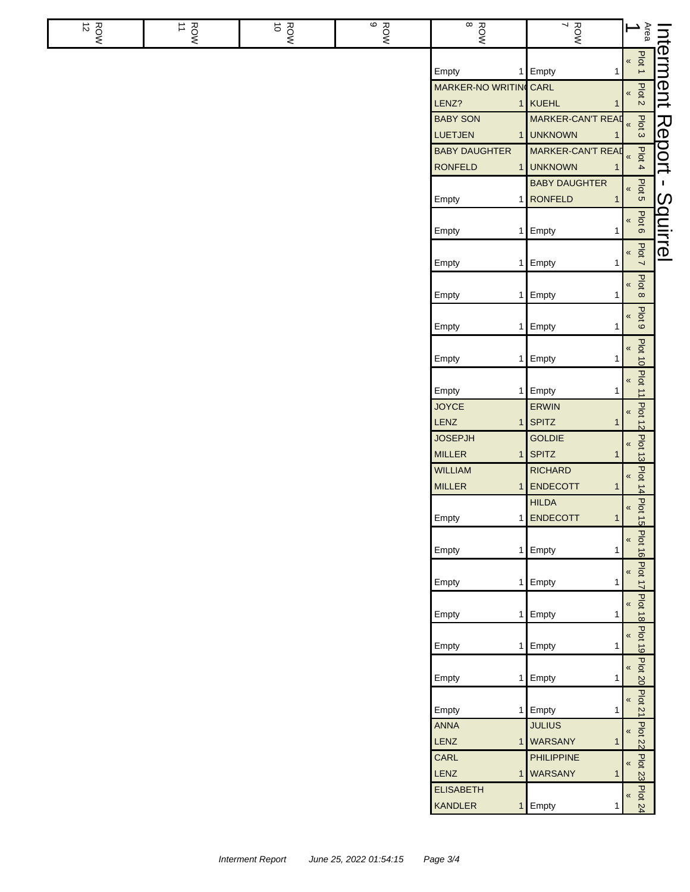| $\frac{ROM}{12}$ | ROW<br>11 | ROW<br>10 | ROW<br>B | ROW<br>8                                    | ROW<br>Y                                       | Area<br>∸                                       |                |
|------------------|-----------|-----------|----------|---------------------------------------------|------------------------------------------------|-------------------------------------------------|----------------|
|                  |           |           |          | Empty<br>1                                  | Empty<br>1                                     | Plot 1<br>$\pmb{\kappa}$                        | nterment       |
|                  |           |           |          | <b>MARKER-NO WRITING CARL</b><br>LENZ?<br>1 | KUEHL<br>1                                     | Plot 2<br>«                                     |                |
|                  |           |           |          | <b>BABY SON</b><br>LUETJEN                  | MARKER-CAN'T READ<br>1 UNKNOWN                 | Plot <sub>3</sub><br>$\pmb{\mathcal{R}}$        | Report         |
|                  |           |           |          | <b>BABY DAUGHTER</b><br><b>RONFELD</b>      | MARKER-CAN'T READ<br>1 UNKNOWN                 | Plot 4<br>$\pmb{\kappa}$                        |                |
|                  |           |           |          | Empty<br>1                                  | <b>BABY DAUGHTER</b><br><b>RONFELD</b><br>1    | Plot <sub>5</sub><br>$\pmb{\kappa}$             | т.<br>$\omega$ |
|                  |           |           |          | Empty<br>1                                  | Empty<br>1                                     | Plot 6<br>$\pmb{\%}$                            | quirrel        |
|                  |           |           |          | Empty                                       | 1 Empty<br>1                                   | Plot 7<br>$\pmb{\kappa}$                        |                |
|                  |           |           |          | Empty                                       | 1 Empty<br>1                                   | Plot <sub>8</sub><br>$\pmb{\kappa}$             |                |
|                  |           |           |          | Empty<br>1                                  | Empty<br>1                                     | Plot <sub>9</sub><br>$\pmb{\kappa}$             |                |
|                  |           |           |          | Empty<br>1                                  | Empty<br>1                                     | <b>Plot 10</b><br>«                             |                |
|                  |           |           |          | Empty<br><b>JOYCE</b>                       | 1 Empty<br>1<br>ERWIN                          | Plot 11<br>$\pmb{\kappa}$                       |                |
|                  |           |           |          | LENZ<br>1<br><b>JOSEPJH</b>                 | SPITZ<br>1<br><b>GOLDIE</b>                    | <b>Plot 12</b><br>$\pmb{\kappa}$                |                |
|                  |           |           |          | <b>MILLER</b><br>1<br><b>WILLIAM</b>        | SPITZ<br>1<br><b>RICHARD</b>                   | Plot 13<br>$\pmb{\kappa}$                       |                |
|                  |           |           |          | <b>MILLER</b><br>1                          | ENDECOTT<br>1<br><b>HILDA</b>                  | Plot 14<br>$\pmb{\kappa}$                       |                |
|                  |           |           |          | Empty                                       | 1 ENDECOTT<br>$\mathbf{1}$                     | Plot 15<br>$\pmb{\kappa}$                       |                |
|                  |           |           |          | Empty<br>1                                  | Empty                                          | <b>Plot 16</b><br>$\pmb{\mathcal{R}}$           |                |
|                  |           |           |          | Empty<br>1                                  | Empty<br>1                                     | Plot 17<br>«<br>$\pmb{\mathsf{K}}$              |                |
|                  |           |           |          | Empty                                       | 1 Empty<br>$\mathbf{1}$                        | <b>Plot 18</b><br>$\pmb{\kappa}$                |                |
|                  |           |           |          | Empty<br>1                                  | Empty<br>1                                     | <b>Plot 19</b><br>$\pmb{\kappa}$                |                |
|                  |           |           |          | Empty<br>1                                  | Empty<br>1                                     | Plot 20<br>$\pmb{\kappa}$                       |                |
|                  |           |           |          | Empty<br>1<br><b>ANNA</b>                   | Empty<br>1<br><b>JULIUS</b>                    | Plot 21<br>$\overline{\mathbf{X}}$              |                |
|                  |           |           |          | LENZ<br>CARL                                | 1 WARSANY<br>$\mathbf{1}$<br><b>PHILIPPINE</b> | <b>Plot 22</b><br>$\pmb{\mathcal{R}}$           |                |
|                  |           |           |          | LENZ<br>$\mathbf{1}$<br><b>ELISABETH</b>    | <b>WARSANY</b><br>1                            | Plot 23<br>Plot <sub>24</sub><br>$\pmb{\kappa}$ |                |
|                  |           |           |          | <b>KANDLER</b><br>1                         | Empty<br>1                                     |                                                 |                |

ı